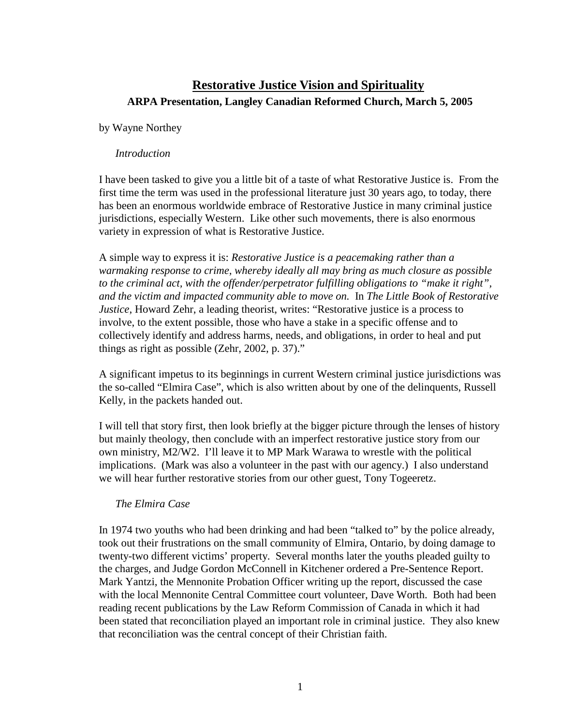# **Restorative Justice Vision and Spirituality ARPA Presentation, Langley Canadian Reformed Church, March 5, 2005**

#### by Wayne Northey

#### *Introduction*

I have been tasked to give you a little bit of a taste of what Restorative Justice is. From the first time the term was used in the professional literature just 30 years ago, to today, there has been an enormous worldwide embrace of Restorative Justice in many criminal justice jurisdictions, especially Western. Like other such movements, there is also enormous variety in expression of what is Restorative Justice.

A simple way to express it is: *Restorative Justice is a peacemaking rather than a warmaking response to crime, whereby ideally all may bring as much closure as possible to the criminal act, with the offender/perpetrator fulfilling obligations to "make it right", and the victim and impacted community able to move on.* In *The Little Book of Restorative Justice*, Howard Zehr, a leading theorist, writes: "Restorative justice is a process to involve, to the extent possible, those who have a stake in a specific offense and to collectively identify and address harms, needs, and obligations, in order to heal and put things as right as possible (Zehr, 2002, p. 37)."

A significant impetus to its beginnings in current Western criminal justice jurisdictions was the so-called "Elmira Case", which is also written about by one of the delinquents, Russell Kelly, in the packets handed out.

I will tell that story first, then look briefly at the bigger picture through the lenses of history but mainly theology, then conclude with an imperfect restorative justice story from our own ministry, M2/W2. I'll leave it to MP Mark Warawa to wrestle with the political implications. (Mark was also a volunteer in the past with our agency.) I also understand we will hear further restorative stories from our other guest, Tony Togeeretz.

#### *The Elmira Case*

In 1974 two youths who had been drinking and had been "talked to" by the police already, took out their frustrations on the small community of Elmira, Ontario, by doing damage to twenty-two different victims' property. Several months later the youths pleaded guilty to the charges, and Judge Gordon McConnell in Kitchener ordered a Pre-Sentence Report. Mark Yantzi, the Mennonite Probation Officer writing up the report, discussed the case with the local Mennonite Central Committee court volunteer, Dave Worth. Both had been reading recent publications by the Law Reform Commission of Canada in which it had been stated that reconciliation played an important role in criminal justice. They also knew that reconciliation was the central concept of their Christian faith.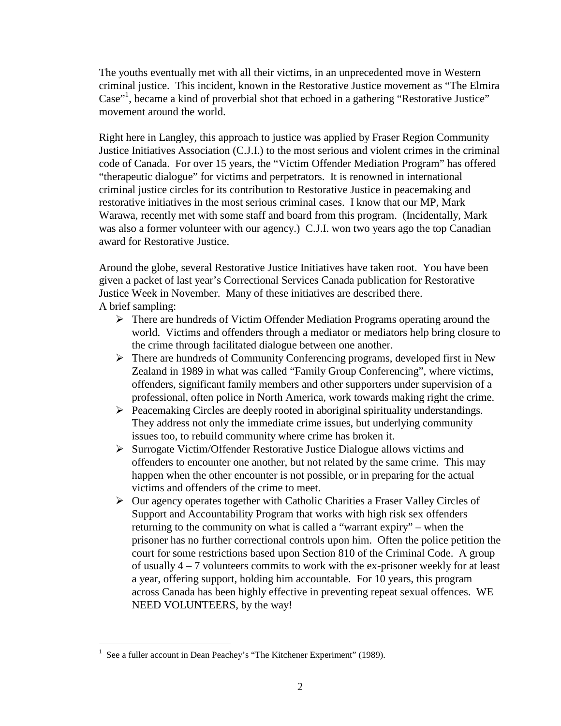The youths eventually met with all their victims, in an unprecedented move in Western criminal justice. This incident, known in the Restorative Justice movement as "The Elmira Case"<sup>1</sup>[,](#page-1-0) became a kind of proverbial shot that echoed in a gathering "Restorative Justice" movement around the world.

Right here in Langley, this approach to justice was applied by Fraser Region Community Justice Initiatives Association (C.J.I.) to the most serious and violent crimes in the criminal code of Canada. For over 15 years, the "Victim Offender Mediation Program" has offered "therapeutic dialogue" for victims and perpetrators. It is renowned in international criminal justice circles for its contribution to Restorative Justice in peacemaking and restorative initiatives in the most serious criminal cases. I know that our MP, Mark Warawa, recently met with some staff and board from this program. (Incidentally, Mark was also a former volunteer with our agency.) C.J.I. won two years ago the top Canadian award for Restorative Justice.

Around the globe, several Restorative Justice Initiatives have taken root. You have been given a packet of last year's Correctional Services Canada publication for Restorative Justice Week in November. Many of these initiatives are described there. A brief sampling:

- There are hundreds of Victim Offender Mediation Programs operating around the world. Victims and offenders through a mediator or mediators help bring closure to the crime through facilitated dialogue between one another.
- There are hundreds of Community Conferencing programs, developed first in New Zealand in 1989 in what was called "Family Group Conferencing", where victims, offenders, significant family members and other supporters under supervision of a professional, often police in North America, work towards making right the crime.
- $\triangleright$  Peacemaking Circles are deeply rooted in aboriginal spirituality understandings. They address not only the immediate crime issues, but underlying community issues too, to rebuild community where crime has broken it.
- $\triangleright$  Surrogate Victim/Offender Restorative Justice Dialogue allows victims and offenders to encounter one another, but not related by the same crime. This may happen when the other encounter is not possible, or in preparing for the actual victims and offenders of the crime to meet.
- $\triangleright$  Our agency operates together with Catholic Charities a Fraser Valley Circles of Support and Accountability Program that works with high risk sex offenders returning to the community on what is called a "warrant expiry" – when the prisoner has no further correctional controls upon him. Often the police petition the court for some restrictions based upon Section 810 of the Criminal Code. A group of usually 4 – 7 volunteers commits to work with the ex-prisoner weekly for at least a year, offering support, holding him accountable. For 10 years, this program across Canada has been highly effective in preventing repeat sexual offences. WE NEED VOLUNTEERS, by the way!

<span id="page-1-0"></span><sup>1</sup> See a fuller account in Dean Peachey's "The Kitchener Experiment" (1989).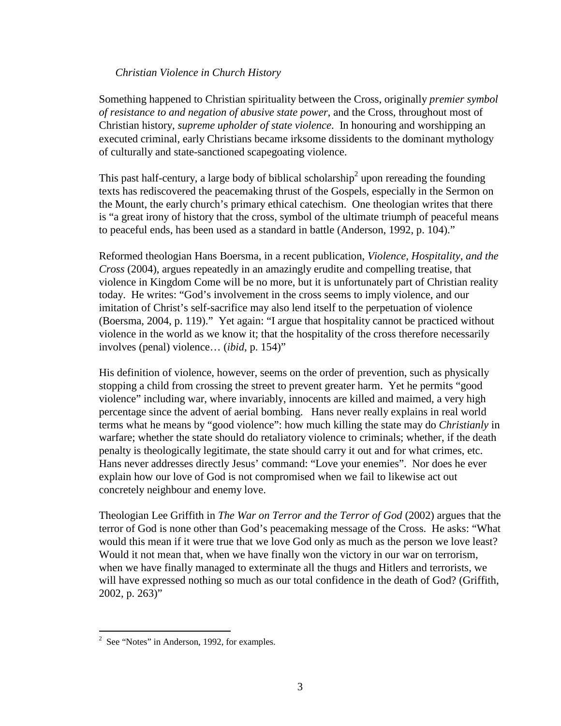#### *Christian Violence in Church History*

Something happened to Christian spirituality between the Cross, originally *premier symbol of resistance to and negation of abusive state power*, and the Cross, throughout most of Christian history, *supreme upholder of state violence*. In honouring and worshipping an executed criminal, early Christians became irksome dissidents to the dominant mythology of culturally and state-sanctioned scapegoating violence.

This past half-century, a large body of biblical scholarship<sup>[2](#page-2-0)</sup> upon rereading the founding texts has rediscovered the peacemaking thrust of the Gospels, especially in the Sermon on the Mount, the early church's primary ethical catechism. One theologian writes that there is "a great irony of history that the cross, symbol of the ultimate triumph of peaceful means to peaceful ends, has been used as a standard in battle (Anderson, 1992, p. 104)."

Reformed theologian Hans Boersma, in a recent publication, *Violence, Hospitality, and the Cross* (2004), argues repeatedly in an amazingly erudite and compelling treatise, that violence in Kingdom Come will be no more, but it is unfortunately part of Christian reality today. He writes: "God's involvement in the cross seems to imply violence, and our imitation of Christ's self-sacrifice may also lend itself to the perpetuation of violence (Boersma, 2004, p. 119)." Yet again: "I argue that hospitality cannot be practiced without violence in the world as we know it; that the hospitality of the cross therefore necessarily involves (penal) violence… (*ibid*, p. 154)"

His definition of violence, however, seems on the order of prevention, such as physically stopping a child from crossing the street to prevent greater harm. Yet he permits "good violence" including war, where invariably, innocents are killed and maimed, a very high percentage since the advent of aerial bombing. Hans never really explains in real world terms what he means by "good violence": how much killing the state may do *Christianly* in warfare; whether the state should do retaliatory violence to criminals; whether, if the death penalty is theologically legitimate, the state should carry it out and for what crimes, etc. Hans never addresses directly Jesus' command: "Love your enemies". Nor does he ever explain how our love of God is not compromised when we fail to likewise act out concretely neighbour and enemy love.

Theologian Lee Griffith in *The War on Terror and the Terror of God* (2002) argues that the terror of God is none other than God's peacemaking message of the Cross. He asks: "What would this mean if it were true that we love God only as much as the person we love least? Would it not mean that, when we have finally won the victory in our war on terrorism, when we have finally managed to exterminate all the thugs and Hitlers and terrorists, we will have expressed nothing so much as our total confidence in the death of God? (Griffith, 2002, p. 263)"

<span id="page-2-0"></span> $2^2$  See "Notes" in Anderson, 1992, for examples.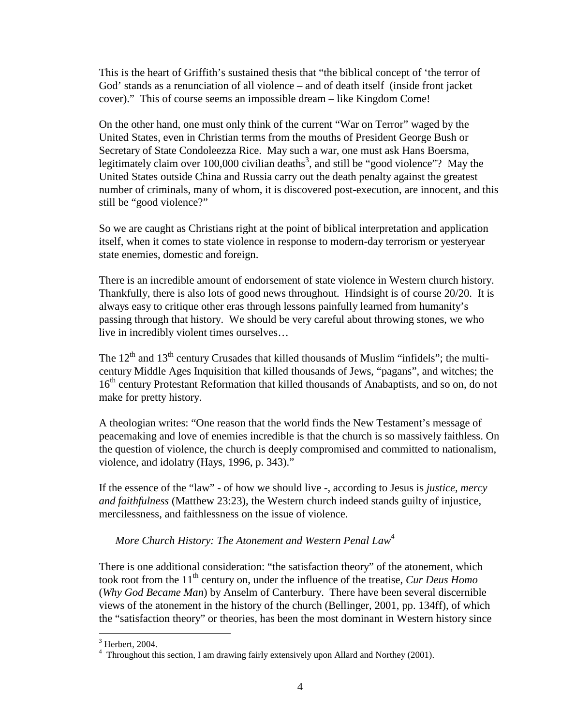This is the heart of Griffith's sustained thesis that "the biblical concept of 'the terror of God' stands as a renunciation of all violence – and of death itself (inside front jacket cover)." This of course seems an impossible dream – like Kingdom Come!

On the other hand, one must only think of the current "War on Terror" waged by the United States, even in Christian terms from the mouths of President George Bush or Secretary of State Condoleezza Rice. May such a war, one must ask Hans Boersma, legitimately claim over 100[,](#page-3-0)000 civilian deaths<sup>3</sup>, and still be "good violence"? May the United States outside China and Russia carry out the death penalty against the greatest number of criminals, many of whom, it is discovered post-execution, are innocent, and this still be "good violence?"

So we are caught as Christians right at the point of biblical interpretation and application itself, when it comes to state violence in response to modern-day terrorism or yesteryear state enemies, domestic and foreign.

There is an incredible amount of endorsement of state violence in Western church history. Thankfully, there is also lots of good news throughout. Hindsight is of course 20/20. It is always easy to critique other eras through lessons painfully learned from humanity's passing through that history. We should be very careful about throwing stones, we who live in incredibly violent times ourselves…

The  $12<sup>th</sup>$  and  $13<sup>th</sup>$  century Crusades that killed thousands of Muslim "infidels"; the multicentury Middle Ages Inquisition that killed thousands of Jews, "pagans", and witches; the 16<sup>th</sup> century Protestant Reformation that killed thousands of Anabaptists, and so on, do not make for pretty history.

A theologian writes: "One reason that the world finds the New Testament's message of peacemaking and love of enemies incredible is that the church is so massively faithless. On the question of violence, the church is deeply compromised and committed to nationalism, violence, and idolatry (Hays, 1996, p. 343)."

If the essence of the "law" - of how we should live -, according to Jesus is *justice, mercy and faithfulness* (Matthew 23:23), the Western church indeed stands guilty of injustice, mercilessness, and faithlessness on the issue of violence.

#### *More Church History: The Atonement and Western Penal Law[4](#page-3-1)*

There is one additional consideration: "the satisfaction theory" of the atonement, which took root from the 11<sup>th</sup> century on, under the influence of the treatise, *Cur Deus Homo* (*Why God Became Man*) by Anselm of Canterbury. There have been several discernible views of the atonement in the history of the church (Bellinger, 2001, pp. 134ff), of which the "satisfaction theory" or theories, has been the most dominant in Western history since

<span id="page-3-0"></span> $3$  Herbert, 2004.

<span id="page-3-1"></span><sup>&</sup>lt;sup>4</sup> Throughout this section, I am drawing fairly extensively upon Allard and Northey (2001).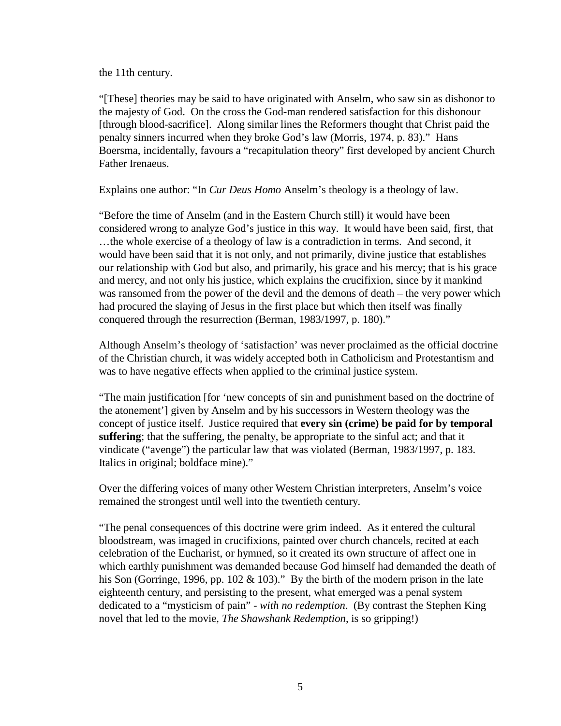the 11th century.

"[These] theories may be said to have originated with Anselm, who saw sin as dishonor to the majesty of God. On the cross the God-man rendered satisfaction for this dishonour [through blood-sacrifice]. Along similar lines the Reformers thought that Christ paid the penalty sinners incurred when they broke God's law (Morris, 1974, p. 83)." Hans Boersma, incidentally, favours a "recapitulation theory" first developed by ancient Church Father Irenaeus.

Explains one author: "In *Cur Deus Homo* Anselm's theology is a theology of law.

"Before the time of Anselm (and in the Eastern Church still) it would have been considered wrong to analyze God's justice in this way. It would have been said, first, that …the whole exercise of a theology of law is a contradiction in terms. And second, it would have been said that it is not only, and not primarily, divine justice that establishes our relationship with God but also, and primarily, his grace and his mercy; that is his grace and mercy, and not only his justice, which explains the crucifixion, since by it mankind was ransomed from the power of the devil and the demons of death – the very power which had procured the slaying of Jesus in the first place but which then itself was finally conquered through the resurrection (Berman, 1983/1997, p. 180)."

Although Anselm's theology of 'satisfaction' was never proclaimed as the official doctrine of the Christian church, it was widely accepted both in Catholicism and Protestantism and was to have negative effects when applied to the criminal justice system.

"The main justification [for 'new concepts of sin and punishment based on the doctrine of the atonement'] given by Anselm and by his successors in Western theology was the concept of justice itself. Justice required that **every sin (crime) be paid for by temporal suffering**; that the suffering, the penalty, be appropriate to the sinful act; and that it vindicate ("avenge") the particular law that was violated (Berman, 1983/1997, p. 183. Italics in original; boldface mine)."

Over the differing voices of many other Western Christian interpreters, Anselm's voice remained the strongest until well into the twentieth century.

"The penal consequences of this doctrine were grim indeed. As it entered the cultural bloodstream, was imaged in crucifixions, painted over church chancels, recited at each celebration of the Eucharist, or hymned, so it created its own structure of affect one in which earthly punishment was demanded because God himself had demanded the death of his Son (Gorringe, 1996, pp. 102  $& 103$ )." By the birth of the modern prison in the late eighteenth century, and persisting to the present, what emerged was a penal system dedicated to a "mysticism of pain" - *with no redemption*. (By contrast the Stephen King novel that led to the movie, *The Shawshank Redemption*, is so gripping!)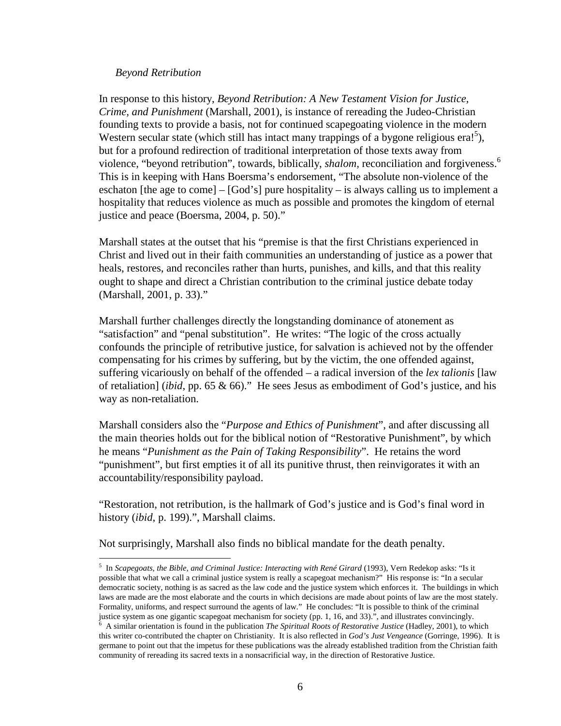#### *Beyond Retribution*

In response to this history, *Beyond Retribution: A New Testament Vision for Justice, Crime, and Punishment* (Marshall, 2001), is instance of rereading the Judeo-Christian founding texts to provide a basis, not for continued scapegoating violence in the modern Westernsecular state (which still has intact many trappings of a bygone religious era!<sup>5</sup>), but for a profound redirection of traditional interpretation of those texts away from violence, "beyond retribution", towards, biblically, *shalom,* reconciliation and forgiveness.[6](#page-5-1) This is in keeping with Hans Boersma's endorsement, "The absolute non-violence of the eschaton [the age to come] – [God's] pure hospitality – is always calling us to implement a hospitality that reduces violence as much as possible and promotes the kingdom of eternal justice and peace (Boersma, 2004, p. 50)."

Marshall states at the outset that his "premise is that the first Christians experienced in Christ and lived out in their faith communities an understanding of justice as a power that heals, restores, and reconciles rather than hurts, punishes, and kills, and that this reality ought to shape and direct a Christian contribution to the criminal justice debate today (Marshall, 2001, p. 33)."

Marshall further challenges directly the longstanding dominance of atonement as "satisfaction" and "penal substitution". He writes: "The logic of the cross actually confounds the principle of retributive justice, for salvation is achieved not by the offender compensating for his crimes by suffering, but by the victim, the one offended against, suffering vicariously on behalf of the offended – a radical inversion of the *lex talionis* [law of retaliation] (*ibid*, pp. 65 & 66)." He sees Jesus as embodiment of God's justice, and his way as non-retaliation.

Marshall considers also the "*Purpose and Ethics of Punishment*", and after discussing all the main theories holds out for the biblical notion of "Restorative Punishment", by which he means "*Punishment as the Pain of Taking Responsibility*". He retains the word "punishment", but first empties it of all its punitive thrust, then reinvigorates it with an accountability/responsibility payload.

"Restoration, not retribution, is the hallmark of God's justice and is God's final word in history (*ibid*, p. 199).", Marshall claims.

Not surprisingly, Marshall also finds no biblical mandate for the death penalty.

<span id="page-5-0"></span><sup>&</sup>lt;sup>5</sup> In *Scapegoats, the Bible, and Criminal Justice: Interacting with René Girard* (1993), Vern Redekop asks: "Is it possible that what we call a criminal justice system is really a scapegoat mechanism?" His response is: "In a secular democratic society, nothing is as sacred as the law code and the justice system which enforces it. The buildings in which laws are made are the most elaborate and the courts in which decisions are made about points of law are the most stately. Formality, uniforms, and respect surround the agents of law." He concludes: "It is possible to think of the criminal justice system as one gigantic scapegoat mechanism for society (pp. 1, 16, and 33).", and illustrates convincingly.

<span id="page-5-1"></span><sup>6</sup> A similar orientation is found in the publication *The Spiritual Roots of Restorative Justice* (Hadley, 2001), to which this writer co-contributed the chapter on Christianity. It is also reflected in *God's Just Vengeance* (Gorringe, 1996). It is germane to point out that the impetus for these publications was the already established tradition from the Christian faith community of rereading its sacred texts in a nonsacrificial way, in the direction of Restorative Justice.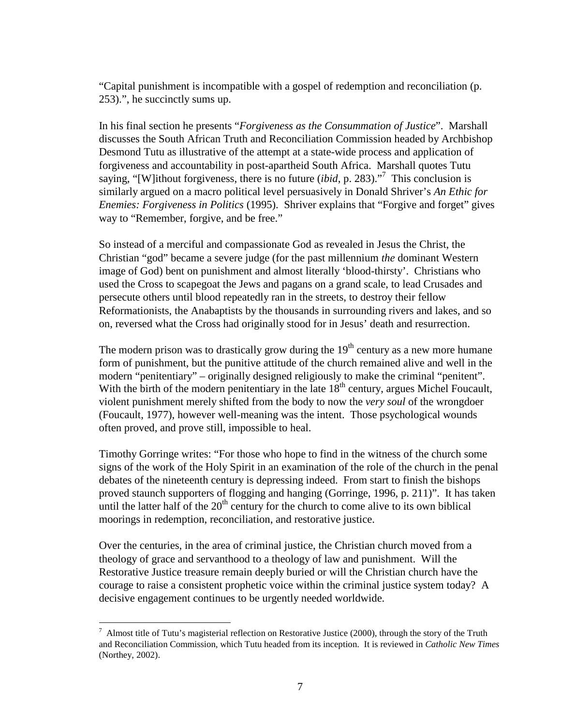"Capital punishment is incompatible with a gospel of redemption and reconciliation (p. 253).", he succinctly sums up.

In his final section he presents "*Forgiveness as the Consummation of Justice*". Marshall discusses the South African Truth and Reconciliation Commission headed by Archbishop Desmond Tutu as illustrative of the attempt at a state-wide process and application of forgiveness and accountability in post-apartheid South Africa. Marshall quotes Tutu saying, "[W]ithout forgiveness, there is no future (*ibid*, p. 283)."[7](#page-6-0) This conclusion is similarly argued on a macro political level persuasively in Donald Shriver's *An Ethic for Enemies: Forgiveness in Politics* (1995). Shriver explains that "Forgive and forget" gives way to "Remember, forgive, and be free."

So instead of a merciful and compassionate God as revealed in Jesus the Christ, the Christian "god" became a severe judge (for the past millennium *the* dominant Western image of God) bent on punishment and almost literally 'blood-thirsty'. Christians who used the Cross to scapegoat the Jews and pagans on a grand scale, to lead Crusades and persecute others until blood repeatedly ran in the streets, to destroy their fellow Reformationists, the Anabaptists by the thousands in surrounding rivers and lakes, and so on, reversed what the Cross had originally stood for in Jesus' death and resurrection.

The modern prison was to drastically grow during the  $19<sup>th</sup>$  century as a new more humane form of punishment, but the punitive attitude of the church remained alive and well in the modern "penitentiary" – originally designed religiously to make the criminal "penitent". With the birth of the modern penitentiary in the late  $18<sup>th</sup>$  century, argues Michel Foucault, violent punishment merely shifted from the body to now the *very soul* of the wrongdoer (Foucault, 1977), however well-meaning was the intent. Those psychological wounds often proved, and prove still, impossible to heal.

Timothy Gorringe writes: "For those who hope to find in the witness of the church some signs of the work of the Holy Spirit in an examination of the role of the church in the penal debates of the nineteenth century is depressing indeed. From start to finish the bishops proved staunch supporters of flogging and hanging (Gorringe, 1996, p. 211)". It has taken until the latter half of the  $20<sup>th</sup>$  century for the church to come alive to its own biblical moorings in redemption, reconciliation, and restorative justice.

Over the centuries, in the area of criminal justice, the Christian church moved from a theology of grace and servanthood to a theology of law and punishment. Will the Restorative Justice treasure remain deeply buried or will the Christian church have the courage to raise a consistent prophetic voice within the criminal justice system today? A decisive engagement continues to be urgently needed worldwide.

<span id="page-6-0"></span> $^7$  Almost title of Tutu's magisterial reflection on Restorative Justice (2000), through the story of the Truth and Reconciliation Commission, which Tutu headed from its inception. It is reviewed in *Catholic New Times* (Northey, 2002).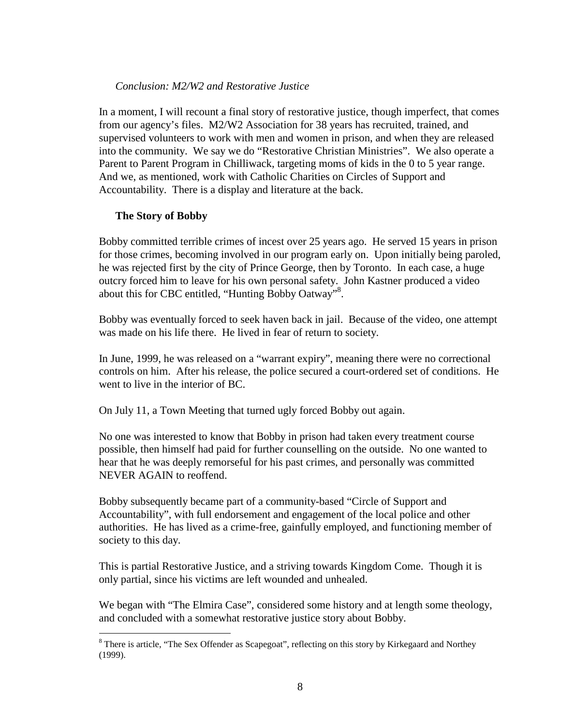### *Conclusion: M2/W2 and Restorative Justice*

In a moment, I will recount a final story of restorative justice, though imperfect, that comes from our agency's files. M2/W2 Association for 38 years has recruited, trained, and supervised volunteers to work with men and women in prison, and when they are released into the community. We say we do "Restorative Christian Ministries". We also operate a Parent to Parent Program in Chilliwack, targeting moms of kids in the 0 to 5 year range. And we, as mentioned, work with Catholic Charities on Circles of Support and Accountability. There is a display and literature at the back.

## **The Story of Bobby**

Bobby committed terrible crimes of incest over 25 years ago. He served 15 years in prison for those crimes, becoming involved in our program early on. Upon initially being paroled, he was rejected first by the city of Prince George, then by Toronto. In each case, a huge outcry forced him to leave for his own personal safety. John Kastner produced a video about this for CBC entitled, "Hunting Bobby Oatway"<sup>8</sup>[.](#page-7-0)

Bobby was eventually forced to seek haven back in jail. Because of the video, one attempt was made on his life there. He lived in fear of return to society.

In June, 1999, he was released on a "warrant expiry", meaning there were no correctional controls on him. After his release, the police secured a court-ordered set of conditions. He went to live in the interior of BC.

On July 11, a Town Meeting that turned ugly forced Bobby out again.

No one was interested to know that Bobby in prison had taken every treatment course possible, then himself had paid for further counselling on the outside. No one wanted to hear that he was deeply remorseful for his past crimes, and personally was committed NEVER AGAIN to reoffend.

Bobby subsequently became part of a community-based "Circle of Support and Accountability", with full endorsement and engagement of the local police and other authorities. He has lived as a crime-free, gainfully employed, and functioning member of society to this day.

This is partial Restorative Justice, and a striving towards Kingdom Come. Though it is only partial, since his victims are left wounded and unhealed.

We began with "The Elmira Case", considered some history and at length some theology, and concluded with a somewhat restorative justice story about Bobby.

<span id="page-7-0"></span><sup>&</sup>lt;sup>8</sup> There is article, "The Sex Offender as Scapegoat", reflecting on this story by Kirkegaard and Northey (1999).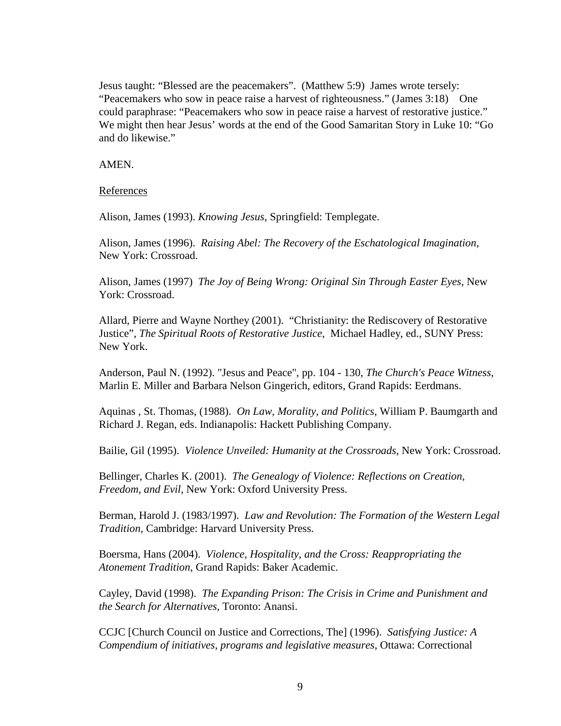Jesus taught: "Blessed are the peacemakers". (Matthew 5:9) James wrote tersely: "Peacemakers who sow in peace raise a harvest of righteousness." (James 3:18) One could paraphrase: "Peacemakers who sow in peace raise a harvest of restorative justice." We might then hear Jesus' words at the end of the Good Samaritan Story in Luke 10: "Go and do likewise."

AMEN.

References

Alison, James (1993). *Knowing Jesus*, Springfield: Templegate.

Alison, James (1996). *Raising Abel: The Recovery of the Eschatological Imagination*, New York: Crossroad.

Alison, James (1997) *The Joy of Being Wrong: Original Sin Through Easter Eyes*, New York: Crossroad.

Allard, Pierre and Wayne Northey (2001). "Christianity: the Rediscovery of Restorative Justice", *The Spiritual Roots of Restorative Justice*, Michael Hadley, ed., SUNY Press: New York.

Anderson, Paul N. (1992). "Jesus and Peace", pp. 104 - 130, *The Church's Peace Witness*, Marlin E. Miller and Barbara Nelson Gingerich, editors, Grand Rapids: Eerdmans.

Aquinas , St. Thomas, (1988). *On Law, Morality, and Politics*, William P. Baumgarth and Richard J. Regan, eds. Indianapolis: Hackett Publishing Company.

Bailie, Gil (1995). *Violence Unveiled: Humanity at the Crossroads*, New York: Crossroad.

Bellinger, Charles K. (2001). *The Genealogy of Violence: Reflections on Creation, Freedom, and Evil*, New York: Oxford University Press.

Berman, Harold J. (1983/1997). *Law and Revolution: The Formation of the Western Legal Tradition*, Cambridge: Harvard University Press.

Boersma, Hans (2004). *Violence, Hospitality, and the Cross: Reappropriating the Atonement Tradition*, Grand Rapids: Baker Academic.

Cayley, David (1998). *The Expanding Prison: The Crisis in Crime and Punishment and the Search for Alternatives*, Toronto: Anansi.

CCJC [Church Council on Justice and Corrections, The] (1996). *Satisfying Justice: A Compendium of initiatives, programs and legislative measures*, Ottawa: Correctional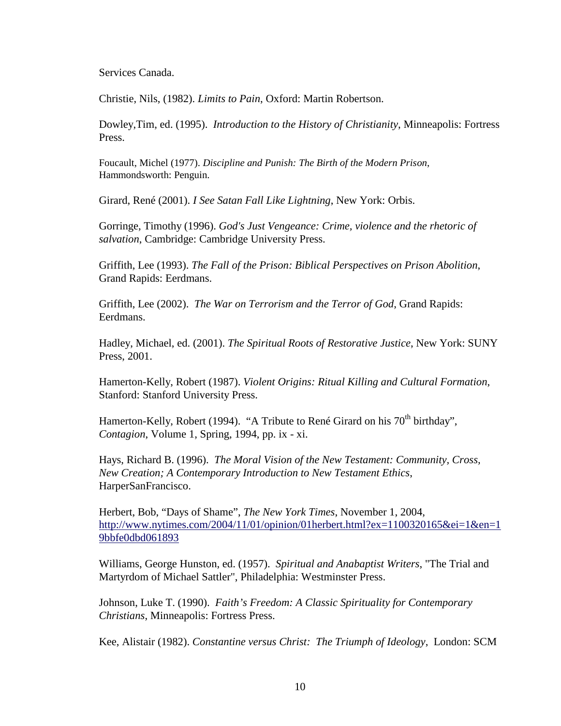Services Canada.

Christie, Nils, (1982). *Limits to Pain*, Oxford: Martin Robertson.

Dowley,Tim, ed. (1995). *Introduction to the History of Christianity*, Minneapolis: Fortress Press.

Foucault, Michel (1977). *Discipline and Punish: The Birth of the Modern Prison*, Hammondsworth: Penguin.

Girard, René (2001). *I See Satan Fall Like Lightning*, New York: Orbis.

Gorringe, Timothy (1996). *God's Just Vengeance: Crime, violence and the rhetoric of salvation*, Cambridge: Cambridge University Press.

Griffith, Lee (1993). *The Fall of the Prison: Biblical Perspectives on Prison Abolition*, Grand Rapids: Eerdmans.

Griffith, Lee (2002). *The War on Terrorism and the Terror of God*, Grand Rapids: Eerdmans.

Hadley, Michael, ed. (2001). *The Spiritual Roots of Restorative Justice*, New York: SUNY Press, 2001.

Hamerton-Kelly, Robert (1987). *Violent Origins: Ritual Killing and Cultural Formation*, Stanford: Stanford University Press.

Hamerton-Kelly, Robert (1994). "A Tribute to René Girard on his 70<sup>th</sup> birthday", *Contagion*, Volume 1, Spring, 1994, pp. ix - xi.

Hays, Richard B. (1996). *The Moral Vision of the New Testament: Community, Cross, New Creation; A Contemporary Introduction to New Testament Ethics*, HarperSanFrancisco.

Herbert, Bob, "Days of Shame", *The New York Times*, November 1, 2004, [http://www.nytimes.com/2004/11/01/opinion/01herbert.html?ex=1100320165&ei=1&en=1](http://www.nytimes.com/2004/11/01/opinion/01herbert.html?ex=1100320165&ei=1&en=19bbfe0dbd061893) [9bbfe0dbd061893](http://www.nytimes.com/2004/11/01/opinion/01herbert.html?ex=1100320165&ei=1&en=19bbfe0dbd061893)

Williams, George Hunston, ed. (1957). *Spiritual and Anabaptist Writers*, "The Trial and Martyrdom of Michael Sattler", Philadelphia: Westminster Press.

Johnson, Luke T. (1990). *Faith's Freedom: A Classic Spirituality for Contemporary Christians*, Minneapolis: Fortress Press.

Kee, Alistair (1982). *Constantine versus Christ: The Triumph of Ideology*, London: SCM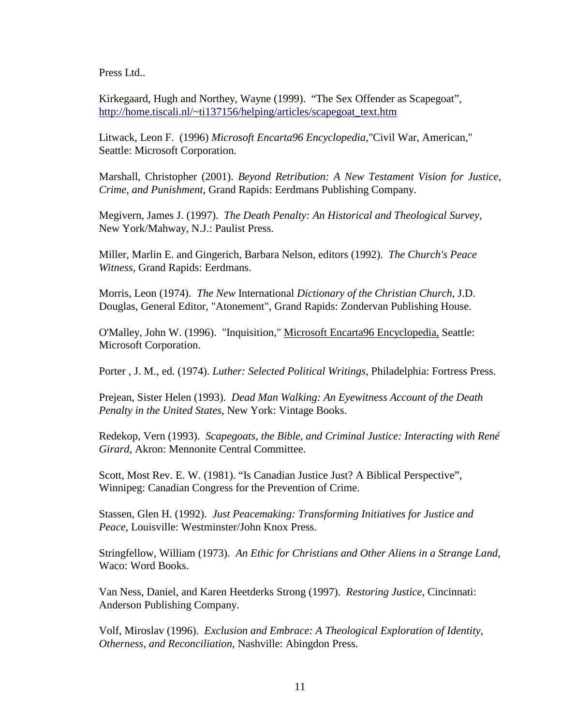Press Ltd...

Kirkegaard, Hugh and Northey, Wayne (1999). "The Sex Offender as Scapegoat", [http://home.tiscali.nl/~ti137156/helping/articles/scapegoat\\_text.htm](http://home.tiscali.nl/~ti137156/helping/articles/scapegoat_text.htm)

Litwack, Leon F. (1996) *Microsoft Encarta96 Encyclopedia,*"Civil War, American," Seattle: Microsoft Corporation.

Marshall, Christopher (2001). *Beyond Retribution: A New Testament Vision for Justice, Crime, and Punishment*, Grand Rapids: Eerdmans Publishing Company.

Megivern, James J. (1997). *The Death Penalty: An Historical and Theological Survey*, New York/Mahway, N.J.: Paulist Press.

Miller, Marlin E. and Gingerich, Barbara Nelson, editors (1992). *The Church's Peace Witness*, Grand Rapids: Eerdmans.

Morris, Leon (1974). *The New* International *Dictionary of the Christian Church*, J.D. Douglas, General Editor, "Atonement", Grand Rapids: Zondervan Publishing House.

O'Malley, John W. (1996). "Inquisition," Microsoft Encarta96 Encyclopedia, Seattle: Microsoft Corporation.

Porter , J. M., ed. (1974). *Luther: Selected Political Writings*, Philadelphia: Fortress Press.

Prejean, Sister Helen (1993). *Dead Man Walking: An Eyewitness Account of the Death Penalty in the United States*, New York: Vintage Books.

Redekop, Vern (1993). *Scapegoats, the Bible, and Criminal Justice: Interacting with René Girard*, Akron: Mennonite Central Committee.

Scott, Most Rev. E. W. (1981). "Is Canadian Justice Just? A Biblical Perspective", Winnipeg: Canadian Congress for the Prevention of Crime.

Stassen, Glen H. (1992). *Just Peacemaking: Transforming Initiatives for Justice and Peace*, Louisville: Westminster/John Knox Press.

Stringfellow, William (1973). *An Ethic for Christians and Other Aliens in a Strange Land*, Waco: Word Books.

Van Ness, Daniel, and Karen Heetderks Strong (1997). *Restoring Justice*, Cincinnati: Anderson Publishing Company.

Volf, Miroslav (1996). *Exclusion and Embrace: A Theological Exploration of Identity, Otherness, and Reconciliation*, Nashville: Abingdon Press.